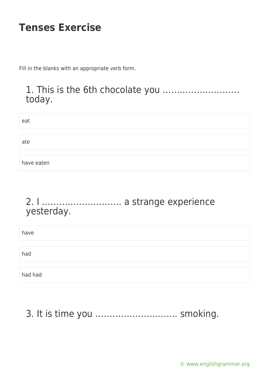Fill in the blanks with an appropriate verb form.

#### 1. This is the 6th chocolate you ……………………… today.

| eat        |  |
|------------|--|
|            |  |
| ate        |  |
|            |  |
| have eaten |  |

#### 2. I ………………………. a strange experience yesterday.

| have    |  |
|---------|--|
| had     |  |
| had had |  |

# 3. It is time you ……………………….. smoking.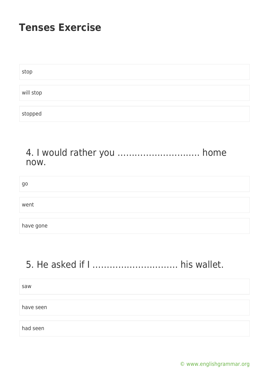| stop      |  |  |  |
|-----------|--|--|--|
|           |  |  |  |
| will stop |  |  |  |
|           |  |  |  |
| stopped   |  |  |  |

#### 4. I would rather you ……………………….. home now.

| go        |  |
|-----------|--|
|           |  |
| went      |  |
|           |  |
| have gone |  |

# 5. He asked if I ………………………… his wallet.

saw

have seen

had seen

[© www.englishgrammar.org](https://www.englishgrammar.org/)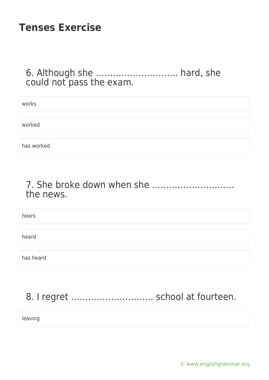#### 6. Although she ……………………….. hard, she could not pass the exam.

| works      |  |
|------------|--|
|            |  |
| worked     |  |
|            |  |
| has worked |  |

#### 7. She broke down when she ……………………….. the news.

| hears     |  |
|-----------|--|
|           |  |
| heard     |  |
|           |  |
| has heard |  |

# 8. I regret ............................... school at fourteen.

leaving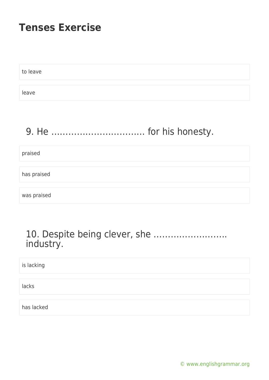to leave leave

# 9. He …………………………… for his honesty.

praised

has praised

was praised

#### 10. Despite being clever, she …………………….. industry.

is lacking lacks has lacked

[© www.englishgrammar.org](https://www.englishgrammar.org/)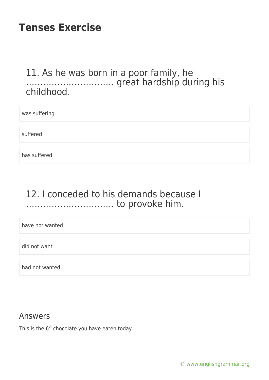#### 11. As he was born in a poor family, he …………………………. great hardship during his childhood.

was suffering

suffered

has suffered

#### 12. I conceded to his demands because I …………………………. to provoke him.

have not wanted

did not want

had not wanted

#### Answers

This is the  $6<sup>th</sup>$  chocolate you have eaten today.